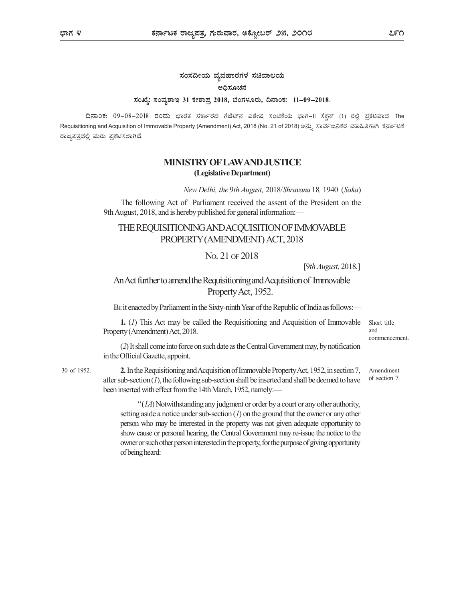# ಸಂಸದೀಯ ವ್ಯವಹಾರಗಳ ಸಚಿವಾಲಯ ಅಧಿಸೂಚನೆ ಸಂಖ್ಯೆ: ಸಂವ್ಯಶಾಇ 31 ಕೇಶಾಪ್ರ 2018, ಬೆಂಗಳೂರು, ದಿನಾಂಕ: 11-09-2018.

ದಿನಾಂಕ: 09–08–2018 ರಂದು ಭಾರತ ಸರ್ಕಾರದ ಗೆಜೆಟ್ನ ವಿಶೇಷ ಸಂಚಿಕೆಯ ಭಾಗ–II ಸೆಕ್ಷನ್ (1) ರಲ್ಲಿ ಪ್ರಕಟವಾದ The Requisitioning and Acquisition of Immovable Property (Amendment) Act, 2018 (No. 21 of 2018) ಅನ್ನು ಸಾರ್ವಜನಿಕರ ಮಾಹಿತಿಗಾಗಿ ಕರ್ನಾಟಕ ರಾಜ್ಯಪತ್ರದಲ್ಲಿ ಮರು ಪ್ರಕಟಿಸಲಾಗಿದೆ.

### MINISTRY OF LAW AND JUSTICE (Legislative Department)

New Delhi, the 9th August, 2018/Shravana 18, 1940 (Saka)

The following Act of Parliament received the assent of the President on the 9th August, 2018, and is hereby published for general information:—

# THE REQUISITIONING AND ACQUISITION OF IMMOVABLE PROPERTY (AMENDMENT) ACT, 2018

#### NO. 21 OF 2018

[9th August, 2018.]

## An Act further to amend the Requisitioning and Acquisition of Immovable Property Act, 1952.

BE it enacted by Parliament in the Sixty-ninth Year of the Republic of India as follows:—

1. (1) This Act may be called the Requisitioning and Acquisition of Immovable Property (Amendment) Act, 2018.

Short title and commencement.

Amendment of section 7.

(2) It shall come into force on such date as the Central Government may, by notification in the Official Gazette, appoint.

2. In the Requisitioning and Acquisition of Immovable Property Act, 1952, in section 7, 30 of 1952. after sub-section  $(1)$ , the following sub-section shall be inserted and shall be deemed to have been inserted with effect from the 14th March, 1952, namely:—

> $\lq (1A)$  Notwithstanding any judgment or order by a court or any other authority, setting aside a notice under sub-section  $(1)$  on the ground that the owner or any other person who may be interested in the property was not given adequate opportunity to show cause or personal hearing, the Central Government may re-issue the notice to the owner or such other person interested in the property, for the purpose of giving opportunity of being heard: